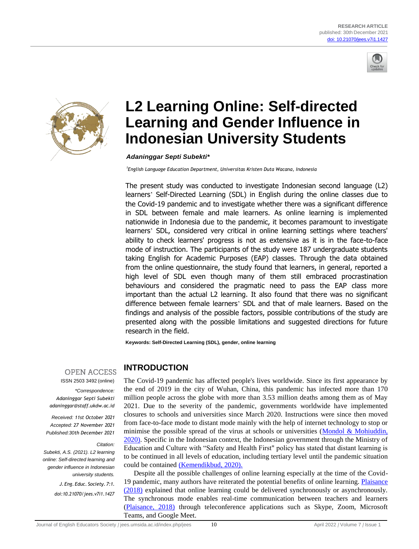



# **L2 Learning Online: Self-directed Learning and Gender Influence in Indonesian University Students**

*Adaninggar Septi Subekti\**

*1 English Language Education Department, Universitas Kristen Duta Wacana, Indonesia*

The present study was conducted to investigate Indonesian second language (L2) learners" Self-Directed Learning (SDL) in English during the online classes due to the Covid-19 pandemic and to investigate whether there was a significant difference in SDL between female and male learners. As online learning is implemented nationwide in Indonesia due to the pandemic, it becomes paramount to investigate learners" SDL, considered very critical in online learning settings where teachers' ability to check learners' progress is not as extensive as it is in the face-to-face mode of instruction. The participants of the study were 187 undergraduate students taking English for Academic Purposes (EAP) classes. Through the data obtained from the online questionnaire, the study found that learners, in general, reported a high level of SDL even though many of them still embraced procrastination behaviours and considered the pragmatic need to pass the EAP class more important than the actual L2 learning. It also found that there was no significant difference between female learners" SDL and that of male learners. Based on the findings and analysis of the possible factors, possible contributions of the study are presented along with the possible limitations and suggested directions for future research in the field.

**Keywords: Self-Directed Learning (SDL), gender, online learning**

**OPEN ACCESS** ISSN 2503 3492 (online)

*\*Correspondence: Adaninggar Septi Subekti adaninggar@staff.ukdw.ac.id*

*Received: 11st October 2021 Accepted: 27 November 2021 Published:30th December 2021*

#### *Citation:*

*Subekti, A.S. (2021). L2 learning online: Self-directed learning and gender influence in Indonesian university students.*

> *J.Eng. Educ. Society. 7:1. doi:10.21070/jees.v7i1.1427*

**INTRODUCTION**

The Covid-19 pandemic has affected people's lives worldwide. Since its first appearance by the end of 2019 in the city of Wuhan, China, this pandemic has infected more than 170 million people across the globe with more than 3.53 million deaths among them as of May 2021. Due to the severity of the pandemic, governments worldwide have implemented closures to schools and universities since March 2020. Instructions were since then moved from face-to-face mode to distant mode mainly with the help of internet technology to stop or minimise the possible spread of the virus at schools or universities (Mondol  $&$  Mohiuddin, 2020). Specific in the Indonesian context, the Indonesian government through the Ministry of Education and Culture with "Safety and Health First" policy has stated that distant learning is to be continued in all levels of education, including tertiary level until the pandemic situation could be contained (Kemendikbud, 2020).

Despite all the possible challenges of online learning especially at the time of the Covid-19 pandemic, many authors have reiterated the potential benefits of online learning. Plaisance (2018) explained that online learning could be delivered synchronously or asynchronously. The synchronous mode enables real-time communication between teachers and learners (Plaisance, 2018) through teleconference applications such as Skype, Zoom, Microsoft Teams, and Google Meet.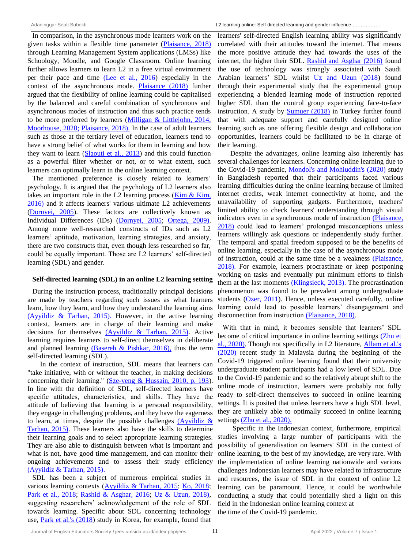In comparison, in the asynchronous mode learners work on the given tasks within a flexible time parameter (Plaisance, 2018) through Learning Management System applications (LMSs) like Schoology, Moodle, and Google Classroom. Online learning further allows learners to learn L2 in a free virtual environment per their pace and time (Lee et al., 2016) especially in the context of the asynchronous mode. Plaisance (2018) further argued that the flexibility of online learning could be capitalised by the balanced and careful combination of synchronous and asynchronous modes of instruction and thus such practice tends to be more preferred by learners (Milligan & Littlejohn, 2014; Moorhouse, 2020; Plaisance, 2018). In the case of adult learners such as those at the tertiary level of education, learners tend to have a strong belief of what works for them in learning and how they want to learn (Slaouti et al., 2013) and this could function as a powerful filter whether or not, or to what extent, such learners can optimally learn in the online learning context.

The mentioned preference is closely related to learners' psychology. It is argued that the psychology of L2 learners also takes an important role in the L2 learning process  $(Kim \& Kim)$ , 2016) and it affects learners' various ultimate L2 achievements (Dornyei, 2005). These factors are collectively known as Individual Differences (IDs) (Dornyei, 2005; Ortega, 2009). Among more well-researched constructs of IDs such as L2 learners' aptitude, motivation, learning strategies, and anxiety, there are two constructs that, even though less researched so far, could be equally important. Those are L2 learners" self-directed learning (SDL) and gender.

#### **Self-directed learning (SDL) in an online L2 learning setting**

During the instruction process, traditionally principal decisions are made by teachers regarding such issues as what learners learn, how they learn, and how they understand the learning aims (Ayyildiz & Tarhan, 2015). However, in the active learning context, learners are in charge of their learning and make decisions for themselves (Ayyildiz & Tarhan, 2015). Active learning requires learners to self-direct themselves in deliberate and planned learning (Basereh & Pishkar, 2016), thus the term self-directed learning (SDL).

In the context of instruction, SDL means that learners can "take initiative, with or without the teacher, in making decisions concerning their learning." (Sze-yeng & Hussain, 2010, p. 193). In line with the definition of SDL, self-directed learners have specific attitudes, characteristics, and skills. They have the attitude of believing that learning is a personal responsibility, they engage in challenging problems, and they have the eagerness to learn, at times, despite the possible challenges (Ayyildiz  $\&$ Tarhan, 2015). These learners also have the skills to determine their learning goals and to select appropriate learning strategies. They are also able to distinguish between what is important and what is not, have good time management, and can monitor their ongoing achievements and to assess their study efficiency (Ayyildiz & Tarhan, 2015).

SDL has been a subject of numerous empirical studies in various learning contexts (Ayyildiz & Tarhan, 2015; Ko, 2018; Park et al., 2018; Rashid & Asghar, 2016; Uz & Uzun, 2018), suggesting researchers' acknowledgement of the role of SDL towards learning. Specific about SDL concerning technology use, Park et al.'s (2018) study in Korea, for example, found that

learners' self-directed English learning ability was significantly correlated with their attitudes toward the internet. That means the more positive attitude they had towards the uses of the internet, the higher their SDL. Rashid and Asghar (2016) found the use of technology was strongly associated with Saudi Arabian learners" SDL whilst Uz and Uzun (2018) found through their experimental study that the experimental group experiencing a blended learning mode of instruction reported higher SDL than the control group experiencing face-to-face instruction. A study by Sumuer (2018) in Turkey further found that with adequate support and carefully designed online learning such as one offering flexible design and collaboration opportunities, learners could be facilitated to be in charge of their learning.

Despite the advantages, online learning also inherently has several challenges for learners. Concerning online learning due to the Covid-19 pandemic, Mondol's and Mohiuddin's (2020) study in Bangladesh reported that their participants faced various learning difficulties during the online learning because of limited internet credits, weak internet connectivity at home, and the unavailability of supporting gadgets. Furthermore, teachers' limited ability to check learners' understanding through visual indicators even in a synchronous mode of instruction (Plaisance, 2018) could lead to learners' prolonged misconceptions unless learners willingly ask questions or independently study further. The temporal and spatial freedom supposed to be the benefits of online learning, especially in the case of the asynchronous mode of instruction, could at the same time be a weakness (Plaisance, 2018). For example, learners procrastinate or keep postponing working on tasks and eventually put minimum efforts to finish them at the last moments (Klingsieck, 2013). The procrastination phenomenon was found to be prevalent among undergraduate students (Ozer, 2011). Hence, unless executed carefully, online learning could lead to possible learners' disengagement and disconnection from instruction (Plaisance, 2018).

With that in mind, it becomes sensible that learners' SDL become of critical importance in online learning settings (Zhu et al., 2020). Though not specifically in L2 literature, Allam et al.'s (2020) recent study in Malaysia during the beginning of the Covid-19 triggered online learning found that their university undergraduate student participants had a low level of SDL. Due to the Covid-19 pandemic and so the relatively abrupt shift to the online mode of instruction, learners were probably not fully ready to self-direct themselves to succeed in online learning settings. It is posited that unless learners have a high SDL level, they are unlikely able to optimally succeed in online learning settings (Zhu et al., 2020).

Specific in the Indonesian context, furthermore, empirical studies involving a large number of participants with the possibility of generalisation on learners' SDL in the context of online learning, to the best of my knowledge, are very rare. With the implementation of online learning nationwide and various challenges Indonesian learners may have related to infrastructure and resources, the issue of SDL in the context of online L2 learning can be paramount. Hence, it could be worthwhile conducting a study that could potentially shed a light on this field in the Indonesian online learning context at the time of the Covid-19 pandemic.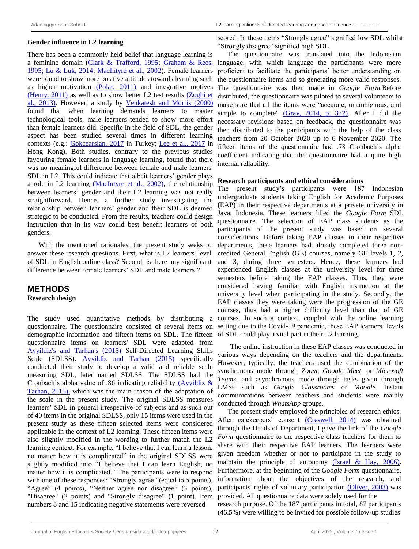### **Gender influence in L2 learning**

There has been a commonly held belief that language learning is a feminine domain (Clark & Trafford, 1995; Graham & Rees, 1995; Lu & Luk, 2014; MacIntyre et al., 2002). Female learners were found to show more positive attitudes towards learning such as higher motivation (Polat, 2011) and integrative motives (Henry, 2011) as well as to show better L2 test results (Zoghi et al., 2013). However, a study by Venkatesh and Morris (2000) found that when learning demands learners to master technological tools, male learners tended to show more effort than female learners did. Specific in the field of SDL, the gender aspect has been studied several times in different learning contexts (e.g.: Gokcearslan, 2017 in Turkey; Lee et al., 2017 in Hong Kong). Both studies, contrary to the previous studies favouring female learners in language learning, found that there was no meaningful difference between female and male learners' SDL in L2. This could indicate that albeit learners' gender plays a role in L2 learning (MacIntyre et al., 2002), the relationship between learners" gender and their L2 learning was not really straightforward. Hence, a further study investigating the relationship between learners" gender and their SDL is deemed strategic to be conducted. From the results, teachers could design instruction that in its way could best benefit learners of both genders.

With the mentioned rationales, the present study seeks to answer these research questions. First, what is L2 learners' level of SDL in English online class? Second, is there any significant difference between female learners' SDL and male learners'?

# **METHODS Research design**

The study used quantitative methods by distributing a questionnaire. The questionnaire consisted of several items on demographic information and fifteen items on SDL. The fifteen of SDL could play a vital part in their L2 learning. questionnaire items on learners' SDL were adapted from Ayyildiz's and Tarhan's (2015) Self-Directed Learning Skills Scale (SDLSS). Ayyildiz and Tarhan (2015) specifically conducted their study to develop a valid and reliable scale measuring SDL, later named SDLSS. The SDLSS had the Cronbach"s alpha value of .86 indicating reliability (Ayyildiz & Tarhan, 2015), which was the main reason of the adaptation of the scale in the present study. The original SDLSS measures learners" SDL in general irrespective of subjects and as such out of 40 items in the original SDLSS, only 15 items were used in the present study as these fifteen selected items were considered applicable in the context of L2 learning. These fifteen items were also slightly modified in the wording to further match the L2 learning context. For example, "I believe that I can learn a lesson, no matter how it is complicated" in the original SDLSS were slightly modified into "I believe that I can learn English, no matter how it is complicated." The participants were to respond with one of these responses: "Strongly agree" (equal to 5 points), "Agree" (4 points), "Neither agree nor disagree" (3 points), "Disagree" (2 points) and "Strongly disagree" (1 point). Item numbers 8 and 15 indicating negative statements were reversed

scored. In these items "Strongly agree" signified low SDL whilst "Strongly disagree" signified high SDL.

The questionnaire was translated into the Indonesian language, with which language the participants were more proficient to facilitate the participants" better understanding on the questionnaire items and so generating more valid responses. The questionnaire was then made in *Google Form.*Before distributed, the questionnaire was piloted to several volunteers to make sure that all the items were "accurate, unambiguous, and simple to complete" (Gray, 2014, p. 372). After I did the necessary revisions based on feedback, the questionnaire was then distributed to the participants with the help of the class teachers from 20 October 2020 up to 6 November 2020. The fifteen items of the questionnaire had .78 Cronbach's alpha coefficient indicating that the questionnaire had a quite high internal reliability.

#### **Research participants and ethical considerations**

The present study"s participants were 187 Indonesian undergraduate students taking English for Academic Purposes (EAP) in their respective departments at a private university in Java, Indonesia. These learners filled the *Google Form* SDL questionnaire. The selection of EAP class students as the participants of the present study was based on several considerations. Before taking EAP classes in their respective departments, these learners had already completed three noncredited General English (GE) courses, namely GE levels 1, 2, and 3, during three semesters. Hence, these learners had experienced English classes at the university level for three semesters before taking the EAP classes. Thus, they were considered having familiar with English instruction at the university level when participating in the study. Secondly, the EAP classes they were taking were the progression of the GE courses, thus had a higher difficulty level than that of GE courses. In such a context, coupled with the online learning setting due to the Covid-19 pandemic, these EAP learners' levels

The online instruction in these EAP classes was conducted in various ways depending on the teachers and the departments. However, typically, the teachers used the combination of the synchronous mode through *Zoom, Google Meet*, or *Microsoft Teams*, and asynchronous mode through tasks given through LMSs such as *Google Classrooms* or *Moodle*. Instant communications between teachers and students were mainly conducted through *WhatsApp* groups.

The present study employed the principles of research ethics. After gatekeepers' consent (Creswell, 2014) was obtained through the Heads of Department, I gave the link of the *Google Form* questionnaire to the respective class teachers for them to share with their respective EAP learners. The learners were given freedom whether or not to participate in the study to maintain the principle of autonomy (Israel & Hay, 2006). Furthermore, at the beginning of the *Google Form* questionnaire, information about the objectives of the research, and participants' rights of voluntary participation (Oliver, 2003) was provided. All questionnaire data were solely used for the

research purpose. Of the 187 participants in total, 87 participants (46.5%) were willing to be invited for possible follow-up studies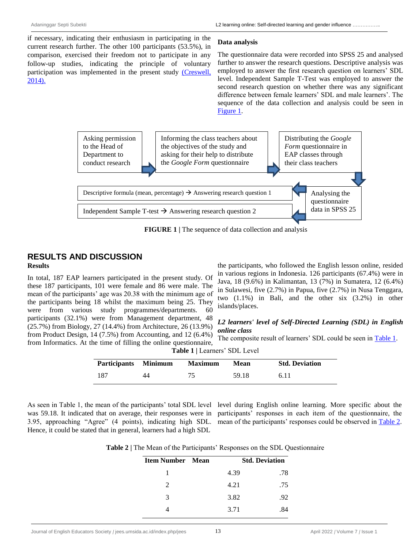if necessary, indicating their enthusiasm in participating in the current research further. The other 100 participants (53.5%), in comparison, exercised their freedom not to participate in any follow-up studies, indicating the principle of voluntary participation was implemented in the present study (Creswell, 2014).

#### **Data analysis**

The questionnaire data were recorded into SPSS 25 and analysed further to answer the research questions. Descriptive analysis was employed to answer the first research question on learners" SDL level. Independent Sample T-Test was employed to answer the second research question on whether there was any significant difference between female learners" SDL and male learners". The sequence of the data collection and analysis could be seen in Figure 1.



**FIGURE 1 |** The sequence of data collection and analysis

# **RESULTS AND DISCUSSION Results**

In total, 187 EAP learners participated in the present study. Of these 187 participants, 101 were female and 86 were male. The mean of the participants' age was 20.38 with the minimum age of the participants being 18 whilst the maximum being 25. They were from various study programmes/departments. 60 participants (32.1%) were from Management department, 48 (25.7%) from Biology, 27 (14.4%) from Architecture, 26 (13.9%) from Product Design, 14 (7.5%) from Accounting, and 12 (6.4%) from Informatics. At the time of filling the online questionnaire,

the participants, who followed the English lesson online, resided in various regions in Indonesia. 126 participants (67.4%) were in Java, 18 (9.6%) in Kalimantan, 13 (7%) in Sumatera, 12 (6.4%) in Sulawesi, five (2.7%) in Papua, five (2.7%) in Nusa Tenggara, two (1.1%) in Bali, and the other six (3.2%) in other islands/places.

# *L2 learners' level of Self-Directed Learning (SDL) in English online class*

The composite result of learners' SDL could be seen in Table 1.

| Participants Minimum |    | <b>Maximum</b> | Mean  | <b>Std. Deviation</b> |
|----------------------|----|----------------|-------|-----------------------|
| 187                  | 44 | 75             | 59.18 | 6.11                  |

3.95, approaching "Agree" (4 points), indicating high SDL. mean of the participants' responses could be observed in Table 2. Hence, it could be stated that in general, learners had a high SDL

As seen in Table 1, the mean of the participants' total SDL level level during English online learning. More specific about the was 59.18. It indicated that on average, their responses were in participants' responses in each item of the questionnaire, the

**Table 2** | The Mean of the Participants' Responses on the SDL Questionnaire

| <b>Item Number</b> Mean     |      | <b>Std. Deviation</b> |  |
|-----------------------------|------|-----------------------|--|
| 1                           | 4.39 | .78                   |  |
| $\mathcal{D}_{\mathcal{L}}$ | 4.21 | .75                   |  |
| 3                           | 3.82 | .92                   |  |
|                             | 3.71 | -84                   |  |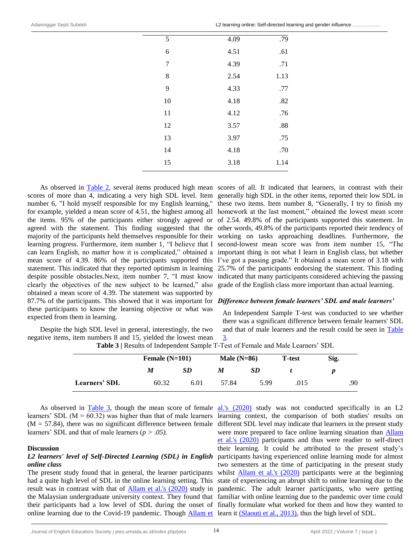|  | L2 learning online: Self-directed learning and gender influence |
|--|-----------------------------------------------------------------|
|--|-----------------------------------------------------------------|

| 5  | 4.09 | .79  |
|----|------|------|
| 6  | 4.51 | .61  |
| 7  | 4.39 | .71  |
| 8  | 2.54 | 1.13 |
| 9  | 4.33 | .77  |
| 10 | 4.18 | .82  |
| 11 | 4.12 | .76  |
| 12 | 3.57 | .88  |
| 13 | 3.97 | .75  |
| 14 | 4.18 | .70  |
| 15 | 3.18 | 1.14 |
|    |      |      |

statement. This indicated that they reported optimism in learning despite possible obstacles.Next, item number 7, "I must know clearly the objectives of the new subject to be learned," also obtained a mean score of 4.39. The statement was supported by 87.7% of the participants. This showed that it was important for *Difference between female learners' SDL and male learners'* these participants to know the learning objective or what was expected from them in learning.

Despite the high SDL level in general, interestingly, the two

As observed in **Table 2**, several items produced high mean scores of all. It indicated that learners, in contrast with their scores of more than 4, indicating a very high SDL level. Item generally high SDL in the other items, reported their low SDL in number 6, "I hold myself responsible for my English learning," these two items. Item number 8, "Generally, I try to finish my for example, yielded a mean score of 4.51, the highest among all homework at the last moment," obtained the lowest mean score the items. 95% of the participants either strongly agreed or of 2.54. 49.8% of the participants supported this statement. In agreed with the statement. This finding suggested that the other words, 49.8% of the participants reported their tendency of majority of the participants held themselves responsible for their working on tasks approaching deadlines. Furthermore, the learning progress. Furthermore, item number 1, "I believe that I second-lowest mean score was from item number 15, "The can learn English, no matter how it is complicated," obtained a important thing is not what I learn in English class, but whether mean score of 4.39. 86% of the participants supported this I've got a passing grade." It obtained a mean score of 3.18 with 25.7% of the participants endorsing the statement. This finding indicated that many participants considered achieving the passing grade of the English class more important than actual learning.

An Independent Sample T-test was conducted to see whether there was a significant difference between female learners' SDL and that of male learners and the result could be seen in Table 3.

negative items, item numbers 8 and 15, yielded the lowest mean **Table 3 |** Results of Independent Sample T-Test of Female and Male Learners" SDL

|                      | Female $(N=101)$ |           | Male $(N=86)$ |      | <b>T</b> -test | Sig. |
|----------------------|------------------|-----------|---------------|------|----------------|------|
|                      | M                | <i>SD</i> | M             | SD   |                |      |
| <b>Learners' SDL</b> | 60.32            | 6.01      | 57.84         | 5.99 | .015           | .90  |

As observed in <u>Table 3</u>, though the mean score of female al.'s (2020) study was not conducted specifically in an L2  $(M = 57.84)$ , there was no significant difference between female learners" SDL and that of male learners (*p > .05).*

#### **Discussion**

### *L2 learners' level of Self-Directed Learning (SDL) in English online class*

The present study found that in general, the learner participants had a quite high level of SDL in the online learning setting. This result was in contrast with that of **Allam et al.'s (2020)** study in the Malaysian undergraduate university context. They found that online learning due to the Covid-19 pandemic. Though *Allam et* learn it (Slaouti et al., 2013), thus the high level of SDL.

learners' SDL  $(M = 60.32)$  was higher than that of male learners learning context, the comparison of both studies' results on their participants had a low level of SDL during the onset of finally formulate what worked for them and how they wanted to different SDL level may indicate that learners in the present study were more prepared to face online learning situation than Allam et al.'s (2020) participants and thus were readier to self-direct their learning. It could be attributed to the present study"s participants having experienced online learning mode for almost two semesters at the time of participating in the present study whilst **Allam et al.'s (2020)** participants were at the beginning state of experiencing an abrupt shift to online learning due to the pandemic. The adult learner participants, who were getting familiar with online learning due to the pandemic over time could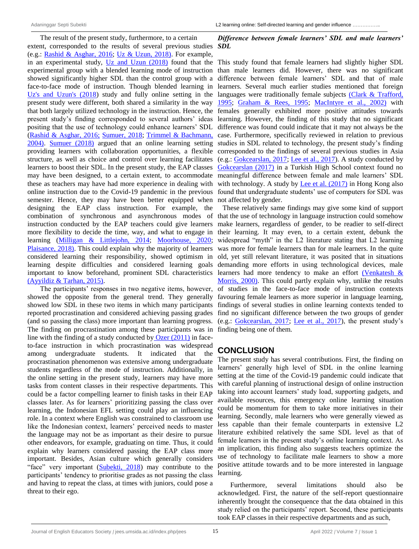The result of the present study, furthermore, to a certain extent, corresponded to the results of several previous studies *SDL* (e.g.: Rashid & Asghar, 2016; Uz & Uzun, 2018). For example, in an experimental study, Uz and Uzun (2018) found that the experimental group with a blended learning mode of instruction showed significantly higher SDL than the control group with a face-to-face mode of instruction. Though blended learning in Uz's and Uzun's (2018) study and fully online setting in the present study were different, both shared a similarity in the way that both largely utilized technology in the instruction. Hence, the present study's finding corresponded to several authors' ideas positing that the use of technology could enhance learners" SDL (Rashid & Asghar, 2016; Sumuer, 2018; Trimmel & Bachmann, 2004). Sumuer (2018) argued that an online learning setting providing learners with collaboration opportunities, a flexible structure, as well as choice and control over learning facilitates learners to boost their SDL. In the present study, the EAP classes may have been designed, to a certain extent, to accommodate these as teachers may have had more experience in dealing with online instruction due to the Covid-19 pandemic in the previous semester. Hence, they may have been better equipped when designing the EAP class instruction. For example, the combination of synchronous and asynchronous modes of instruction conducted by the EAP teachers could give learners more flexibility to decide the time, way, and what to engage in learning (Milligan & Littlejohn, 2014; Moorhouse, 2020; Plaisance, 2018). This could explain why the majority of learners considered learning their responsibility, showed optimism in learning despite difficulties and considered learning goals important to know beforehand, prominent SDL characteristics (Ayyildiz & Tarhan, 2015).

The participants' responses in two negative items, however, showed the opposite from the general trend. They generally showed low SDL in these two items in which many participants reported procrastination and considered achieving passing grades (and so passing the class) more important than learning progress. The finding on procrastination among these participants was in line with the finding of a study conducted by Ozer (2011) in faceto-face instruction in which procrastination was widespread among undergraduate students. It indicated that the procrastination phenomenon was extensive among undergraduate students regardless of the mode of instruction. Additionally, in the online setting in the present study, learners may have more tasks from content classes in their respective departments. This could be a factor compelling learner to finish tasks in their EAP classes later. As for learners" prioritizing passing the class over learning, the Indonesian EFL setting could play an influencing role. In a context where English was constrained to classroom use like the Indonesian context, learners" perceived needs to master the language may not be as important as their desire to pursue other endeavors, for example, graduating on time. Thus, it could explain why learners considered passing the EAP class more important. Besides, Asian culture which generally considers "face" very important (Subekti, 2018) may contribute to the participants" tendency to prioritise grades as not passing the class and having to repeat the class, at times with juniors, could pose a threat to their ego.

# *Difference between female learners' SDL and male learners'*

This study found that female learners had slightly higher SDL than male learners did. However, there was no significant difference between female learners" SDL and that of male learners. Several much earlier studies mentioned that foreign languages were traditionally female subjects (Clark & Trafford, 1995; Graham & Rees, 1995; MacIntyre et al., 2002) with females generally exhibited more positive attitudes towards learning. However, the finding of this study that no significant difference was found could indicate that it may not always be the case. Furthermore, specifically reviewed in relation to previous studies in SDL related to technology, the present study"s finding corresponded to the findings of several previous studies in Asia (e.g.: Gokcearslan, 2017; Lee et al., 2017). A study conducted by Gokcearslan (2017) in a Turkish High School context found no meaningful difference between female and male learners" SDL with technology. A study by Lee et al. (2017) in Hong Kong also found that undergraduate students' use of computers for SDL was not affected by gender.

These relatively same findings may give some kind of support that the use of technology in language instruction could somehow make learners, regardless of gender, to be readier to self-direct their learning. It may even, to a certain extent, debunk the widespread "myth" in the L2 literature stating that L2 learning was more for female learners than for male learners. In the quite old, yet still relevant literature, it was posited that in situations demanding more efforts in using technological devices, male learners had more tendency to make an effort (Venkatesh & Morris, 2000). This could partly explain why, unlike the results of studies in the face-to-face mode of instruction contexts favouring female learners as more superior in language learning, findings of several studies in online learning contexts tended to find no significant difference between the two groups of gender (e.g.: Gokcearslan, 2017; Lee et al., 2017), the present study"s finding being one of them.

# **CONCLUSION**

The present study has several contributions. First, the finding on learners" generally high level of SDL in the online learning setting at the time of the Covid-19 pandemic could indicate that with careful planning of instructional design of online instruction taking into account learners" study load, supporting gadgets, and available resources, this emergency online learning situation could be momentum for them to take more initiatives in their learning. Secondly, male learners who were generally viewed as less capable than their female counterparts in extensive L2 literature exhibited relatively the same SDL level as that of female learners in the present study"s online learning context. As an implication, this finding also suggests teachers optimize the use of technology to facilitate male learners to show a more positive attitude towards and to be more interested in language learning.

Furthermore, several limitations should also be acknowledged. First, the nature of the self-report questionnaire inherently brought the consequence that the data obtained in this study relied on the participants' report. Second, these participants took EAP classes in their respective departments and as such,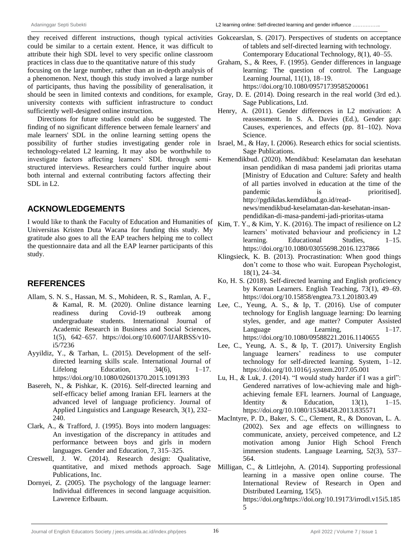they received different instructions, though typical activities could be similar to a certain extent. Hence, it was difficult to attribute their high SDL level to very specific online classroom practices in class due to the quantitative nature of this study focusing on the large number, rather than an in-depth analysis of a phenomenon. Next, though this study involved a large number of participants, thus having the possibility of generalisation, it should be seen in limited contexts and conditions, for example, Gray, D. E. (2014). Doing research in the real world (3rd ed.). university contexts with sufficient infrastructure to conduct sufficiently well-designed online instruction.

Directions for future studies could also be suggested. The finding of no significant difference between female learners' and male learners' SDL in the online learning setting opens the possibility of further studies investigating gender role in technology-related L2 learning. It may also be worthwhile to investigate factors affecting learners" SDL through semistructured interviews. Researchers could further inquire about both internal and external contributing factors affecting their  $SDL$  in  $L2$ .

# **ACKNOWLEDGEMENTS**

I would like to thank the Faculty of Education and Humanities of Kim, T. Y., & Kim, Y. K. (2016). The impact of resilience on L2 Universitas Kristen Duta Wacana for funding this study. My gratitude also goes to all the EAP teachers helping me to collect the questionnaire data and all the EAP learner participants of this study.

# **REFERENCES**

- Allam, S. N. S., Hassan, M. S., Mohideen, R. S., Ramlan, A. F., & Kamal, R. M. (2020). Online distance learning readiness during Covid-19 outbreak among undergraduate students. International Journal of Academic Research in Business and Social Sciences, 1(5), 642–657. https://doi.org/10.6007/IJARBSS/v10 i5/7236
- Ayyildiz, Y., & Tarhan, L. (2015). Development of the selfdirected learning skills scale. International Journal of Lifelong Education,  $34(6)$ ,  $1-17$ . https://doi.org/10.1080/02601370.2015.1091393
- Basereh, N., & Pishkar, K. (2016). Self-directed learning and self-efficacy belief among Iranian EFL learners at the advanced level of language proficiency. Journal of Applied Linguistics and Language Research, 3(1), 232– 240.
- Clark, A., & Trafford, J. (1995). Boys into modern languages: An investigation of the discrepancy in attitudes and performance between boys and girls in modern languages. Gender and Education, 7, 315–325.
- Creswell, J. W. (2014). Research design: Qualitative, quantitative, and mixed methods approach. Sage Publications, Inc.
- Dornyei, Z. (2005). The psychology of the language learner: Individual differences in second language acquisition. Lawrence Erlbaum.
- Gokcearslan, S. (2017). Perspectives of students on acceptance of tablets and self-directed learning with technology. Contemporary Educational Technology, 8(1), 40–55.
- Graham, S., & Rees, F. (1995). Gender differences in language learning: The question of control. The Language Learning Journal, 11(1), 18–19. https://doi.org/10.1080/09571739585200061
- Sage Publications, Ltd.
- Henry, A. (2011). Gender differences in L2 motivation: A reassessment. In S. A. Davies (Ed.), Gender gap: Causes, experiences, and effects (pp. 81–102). Nova Science.
- Israel, M., & Hay, I. (2006). Research ethics for social scientists. Sage Publications.
- Kemendikbud. (2020). Mendikbud: Keselamatan dan kesehatan insan pendidikan di masa pandemi jadi prioritas utama [Ministry of Education and Culture: Safety and health of all parties involved in education at the time of the pandemic is prioritised]. http://pgdikdas.kemdikbud.go.id/readnews/mendikbud-keselamatan-dan-kesehatan-insanpendidikan-di-masa-pandemi-jadi-prioritas-utama
- learners' motivated behaviour and proficiency in L2 learning. Educational Studies, 1–15. https://doi.org/10.1080/03055698.2016.1237866
- Klingsieck, K. B. (2013). Procrastination: When good things don"t come to those who wait. European Psychologist, 18(1), 24–34.
- Ko, H. S. (2018). Self-directed learning and English proficiency by Korean Learners. English Teaching, 73(1), 49–69. https://doi.org/10.15858/engtea.73.1.201803.49
- Lee, C., Yeung, A. S., & Ip, T. (2016). Use of computer technology for English language learning: Do learning styles, gender, and age matter? Computer Assisted Language Learning, 1–17. https://doi.org/10.1080/09588221.2016.1140655
- Lee, C., Yeung, A. S., & Ip, T. (2017). University English language learners" readiness to use computer technology for self-directed learning. System, 1–12. https://doi.org/10.1016/j.system.2017.05.001
- Lu, H., & Luk, J. (2014). "I would study harder if I was a girl": Gendered narratives of low-achieving male and highachieving female EFL learners. Journal of Language, Identity & Education,  $13(1)$ ,  $1-15$ . https://doi.org/10.1080/15348458.2013.835571
- MacIntyre, P. D., Baker, S. C., Clement, R., & Donovan, L. A. (2002). Sex and age effects on willingness to communicate, anxiety, perceived competence, and L2 motivation among Junior High School French immersion students. Language Learning, 52(3), 537– 564.
- Milligan, C., & Littlejohn, A. (2014). Supporting professional learning in a massive open online course. The International Review of Research in Open and Distributed Learning, 15(5). https://doi.org/https://doi.org/10.19173/irrodl.v15i5.185 5